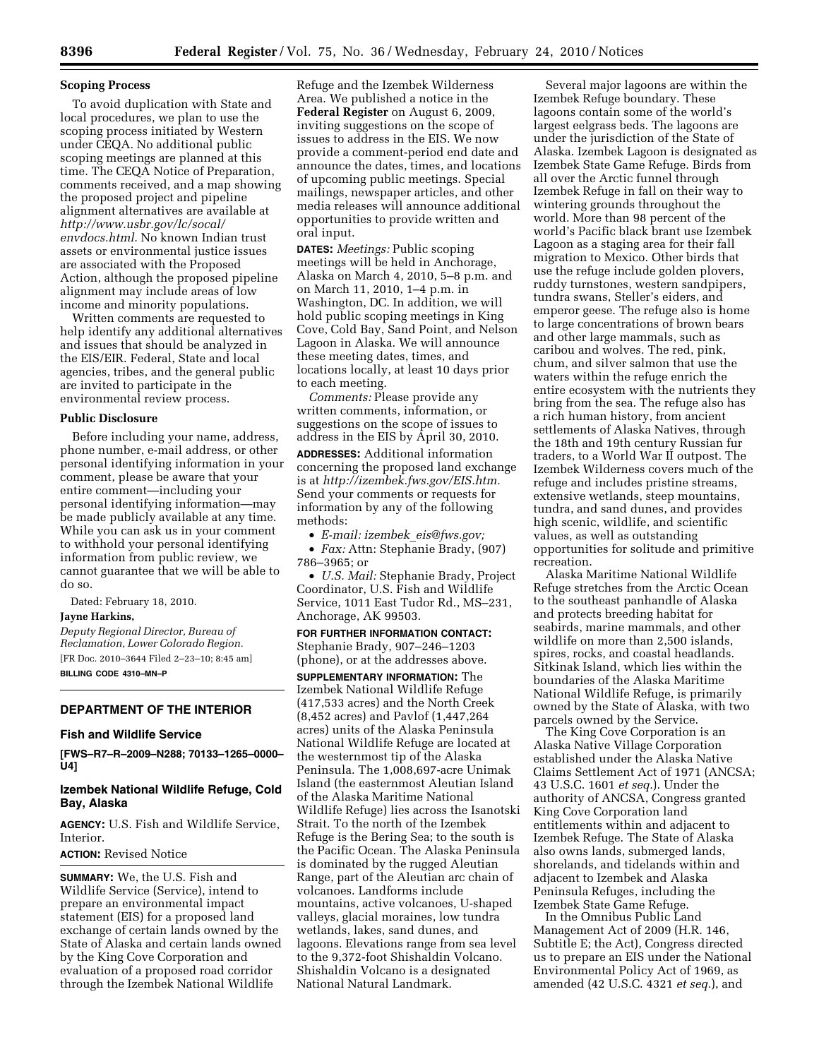#### **Scoping Process**

To avoid duplication with State and local procedures, we plan to use the scoping process initiated by Western under CEQA. No additional public scoping meetings are planned at this time. The CEQA Notice of Preparation, comments received, and a map showing the proposed project and pipeline alignment alternatives are available at *http://www.usbr.gov/lc/socal/ envdocs.html*. No known Indian trust assets or environmental justice issues are associated with the Proposed Action, although the proposed pipeline alignment may include areas of low income and minority populations.

Written comments are requested to help identify any additional alternatives and issues that should be analyzed in the EIS/EIR. Federal, State and local agencies, tribes, and the general public are invited to participate in the environmental review process.

#### **Public Disclosure**

Before including your name, address, phone number, e-mail address, or other personal identifying information in your comment, please be aware that your entire comment—including your personal identifying information—may be made publicly available at any time. While you can ask us in your comment to withhold your personal identifying information from public review, we cannot guarantee that we will be able to do so.

Dated: February 18, 2010.

## **Jayne Harkins,**

*Deputy Regional Director, Bureau of Reclamation, Lower Colorado Region.*  [FR Doc. 2010–3644 Filed 2–23–10; 8:45 am] **BILLING CODE 4310–MN–P** 

## **DEPARTMENT OF THE INTERIOR**

#### **Fish and Wildlife Service**

**[FWS–R7–R–2009–N288; 70133–1265–0000– U4]** 

## **Izembek National Wildlife Refuge, Cold Bay, Alaska**

**AGENCY:** U.S. Fish and Wildlife Service, Interior.

## **ACTION:** Revised Notice

**SUMMARY:** We, the U.S. Fish and Wildlife Service (Service), intend to prepare an environmental impact statement (EIS) for a proposed land exchange of certain lands owned by the State of Alaska and certain lands owned by the King Cove Corporation and evaluation of a proposed road corridor through the Izembek National Wildlife

Refuge and the Izembek Wilderness Area. We published a notice in the **Federal Register** on August 6, 2009, inviting suggestions on the scope of issues to address in the EIS. We now provide a comment-period end date and announce the dates, times, and locations of upcoming public meetings. Special mailings, newspaper articles, and other media releases will announce additional opportunities to provide written and oral input.

**DATES:** *Meetings:* Public scoping meetings will be held in Anchorage, Alaska on March 4, 2010, 5–8 p.m. and on March 11, 2010, 1–4 p.m. in Washington, DC. In addition, we will hold public scoping meetings in King Cove, Cold Bay, Sand Point, and Nelson Lagoon in Alaska. We will announce these meeting dates, times, and locations locally, at least 10 days prior to each meeting.

*Comments:* Please provide any written comments, information, or suggestions on the scope of issues to address in the EIS by April 30, 2010.

**ADDRESSES:** Additional information concerning the proposed land exchange is at *http://izembek.fws.gov/EIS.htm.*  Send your comments or requests for information by any of the following methods:

• *E-mail: izembek*\_*eis@fws.gov;* 

• *Fax:* Attn: Stephanie Brady, (907) 786–3965; or

• *U.S. Mail:* Stephanie Brady, Project Coordinator, U.S. Fish and Wildlife Service, 1011 East Tudor Rd., MS–231, Anchorage, AK 99503.

## **FOR FURTHER INFORMATION CONTACT:**  Stephanie Brady, 907–246–1203 (phone), or at the addresses above.

**SUPPLEMENTARY INFORMATION:** The Izembek National Wildlife Refuge (417,533 acres) and the North Creek (8,452 acres) and Pavlof (1,447,264 acres) units of the Alaska Peninsula National Wildlife Refuge are located at the westernmost tip of the Alaska Peninsula. The 1,008,697-acre Unimak Island (the easternmost Aleutian Island of the Alaska Maritime National Wildlife Refuge) lies across the Isanotski Strait. To the north of the Izembek Refuge is the Bering Sea; to the south is the Pacific Ocean. The Alaska Peninsula is dominated by the rugged Aleutian Range, part of the Aleutian arc chain of volcanoes. Landforms include mountains, active volcanoes, U-shaped valleys, glacial moraines, low tundra wetlands, lakes, sand dunes, and lagoons. Elevations range from sea level to the 9,372-foot Shishaldin Volcano. Shishaldin Volcano is a designated National Natural Landmark.

Several major lagoons are within the Izembek Refuge boundary. These lagoons contain some of the world's largest eelgrass beds. The lagoons are under the jurisdiction of the State of Alaska. Izembek Lagoon is designated as Izembek State Game Refuge. Birds from all over the Arctic funnel through Izembek Refuge in fall on their way to wintering grounds throughout the world. More than 98 percent of the world's Pacific black brant use Izembek Lagoon as a staging area for their fall migration to Mexico. Other birds that use the refuge include golden plovers, ruddy turnstones, western sandpipers, tundra swans, Steller's eiders, and emperor geese. The refuge also is home to large concentrations of brown bears and other large mammals, such as caribou and wolves. The red, pink, chum, and silver salmon that use the waters within the refuge enrich the entire ecosystem with the nutrients they bring from the sea. The refuge also has a rich human history, from ancient settlements of Alaska Natives, through the 18th and 19th century Russian fur traders, to a World War II outpost. The Izembek Wilderness covers much of the refuge and includes pristine streams, extensive wetlands, steep mountains, tundra, and sand dunes, and provides high scenic, wildlife, and scientific values, as well as outstanding opportunities for solitude and primitive recreation.

Alaska Maritime National Wildlife Refuge stretches from the Arctic Ocean to the southeast panhandle of Alaska and protects breeding habitat for seabirds, marine mammals, and other wildlife on more than 2,500 islands, spires, rocks, and coastal headlands. Sitkinak Island, which lies within the boundaries of the Alaska Maritime National Wildlife Refuge, is primarily owned by the State of Alaska, with two parcels owned by the Service.

The King Cove Corporation is an Alaska Native Village Corporation established under the Alaska Native Claims Settlement Act of 1971 (ANCSA; 43 U.S.C. 1601 *et seq.*). Under the authority of ANCSA, Congress granted King Cove Corporation land entitlements within and adjacent to Izembek Refuge. The State of Alaska also owns lands, submerged lands, shorelands, and tidelands within and adjacent to Izembek and Alaska Peninsula Refuges, including the Izembek State Game Refuge.

In the Omnibus Public Land Management Act of 2009 (H.R. 146, Subtitle E; the Act), Congress directed us to prepare an EIS under the National Environmental Policy Act of 1969, as amended (42 U.S.C. 4321 *et seq.*), and